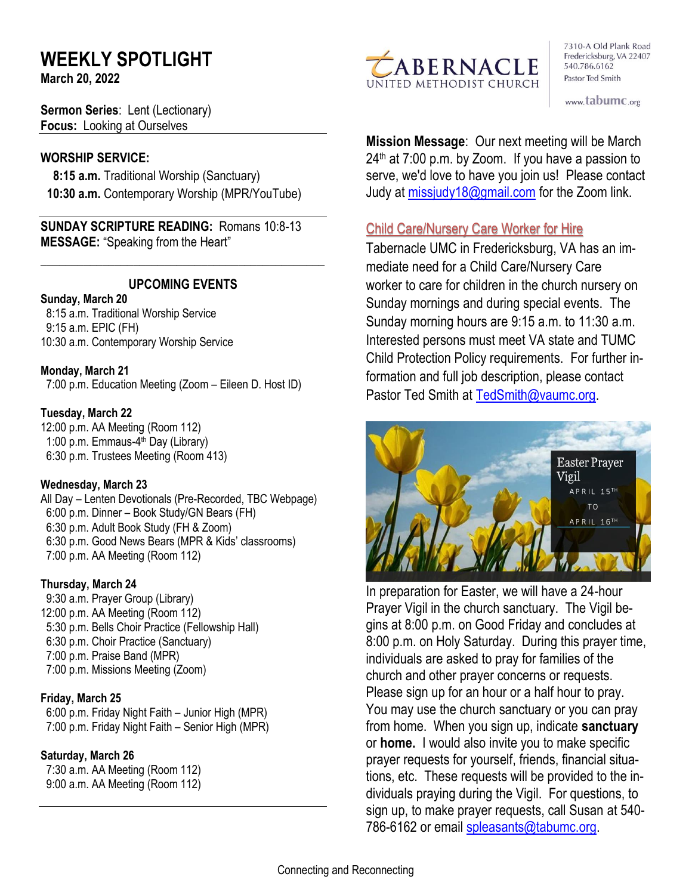# **WEEKLY SPOTLIGHT**

**March 20, 2022** 

**Sermon Series**: Lent (Lectionary) **Focus:** Looking at Ourselves

### **WORSHIP SERVICE:**

 **8:15 a.m.** Traditional Worship (Sanctuary)  **10:30 a.m.** Contemporary Worship (MPR/YouTube)

**SUNDAY SCRIPTURE READING:** Romans 10:8-13 **MESSAGE:** "Speaking from the Heart"

# **UPCOMING EVENTS**

\_\_\_\_\_\_\_\_\_\_\_\_\_\_\_\_\_\_\_\_\_\_\_\_\_\_\_\_\_\_\_\_\_\_\_\_\_\_\_\_\_\_\_\_\_\_

#### **Sunday, March 20**

8:15 a.m. Traditional Worship Service 9:15 a.m. EPIC (FH) 10:30 a.m. Contemporary Worship Service

#### **Monday, March 21**

7:00 p.m. Education Meeting (Zoom – Eileen D. Host ID)

#### **Tuesday, March 22**

12:00 p.m. AA Meeting (Room 112) 1:00 p.m. Emmaus-4<sup>th</sup> Day (Library) 6:30 p.m. Trustees Meeting (Room 413)

#### **Wednesday, March 23**

All Day – Lenten Devotionals (Pre-Recorded, TBC Webpage) 6:00 p.m. Dinner – Book Study/GN Bears (FH) 6:30 p.m. Adult Book Study (FH & Zoom) 6:30 p.m. Good News Bears (MPR & Kids' classrooms) 7:00 p.m. AA Meeting (Room 112)

#### **Thursday, March 24**

9:30 a.m. Prayer Group (Library) 12:00 p.m. AA Meeting (Room 112) 5:30 p.m. Bells Choir Practice (Fellowship Hall) 6:30 p.m. Choir Practice (Sanctuary) 7:00 p.m. Praise Band (MPR) 7:00 p.m. Missions Meeting (Zoom)

# **Friday, March 25**

 6:00 p.m. Friday Night Faith – Junior High (MPR) 7:00 p.m. Friday Night Faith – Senior High (MPR)

# **Saturday, March 26**

 7:30 a.m. AA Meeting (Room 112) 9:00 a.m. AA Meeting (Room 112)



7310-A Old Plank Road Fredericksburg, VA 22407 540.786.6162 Pastor Ted Smith

www.tabumc.org

**Mission Message**: Our next meeting will be March  $24<sup>th</sup>$  at 7:00 p.m. by Zoom. If you have a passion to serve, we'd love to have you join us! Please contact Judy at [missjudy18@gmail.com](mailto:missjudy18@gmail.com) for the Zoom link.

# Child Care/Nursery Care Worker for Hire

Tabernacle UMC in Fredericksburg, VA has an immediate need for a Child Care/Nursery Care worker to care for children in the church nursery on Sunday mornings and during special events. The Sunday morning hours are 9:15 a.m. to 11:30 a.m. Interested persons must meet VA state and TUMC Child Protection Policy requirements. For further information and full job description, please contact Pastor Ted Smith at [TedSmith@vaumc.org.](mailto:TedSmith@vaumc.org)



In preparation for Easter, we will have a 24-hour Prayer Vigil in the church sanctuary. The Vigil begins at 8:00 p.m. on Good Friday and concludes at 8:00 p.m. on Holy Saturday. During this prayer time, individuals are asked to pray for families of the church and other prayer concerns or requests. Please sign up for an hour or a half hour to pray. You may use the church sanctuary or you can pray from home. When you sign up, indicate **sanctuary**  or **home.** I would also invite you to make specific prayer requests for yourself, friends, financial situations, etc. These requests will be provided to the individuals praying during the Vigil. For questions, to sign up, to make prayer requests, call Susan at 540 786-6162 or email [spleasants@tabumc.org.](mailto:spleasants@tabumc.org)